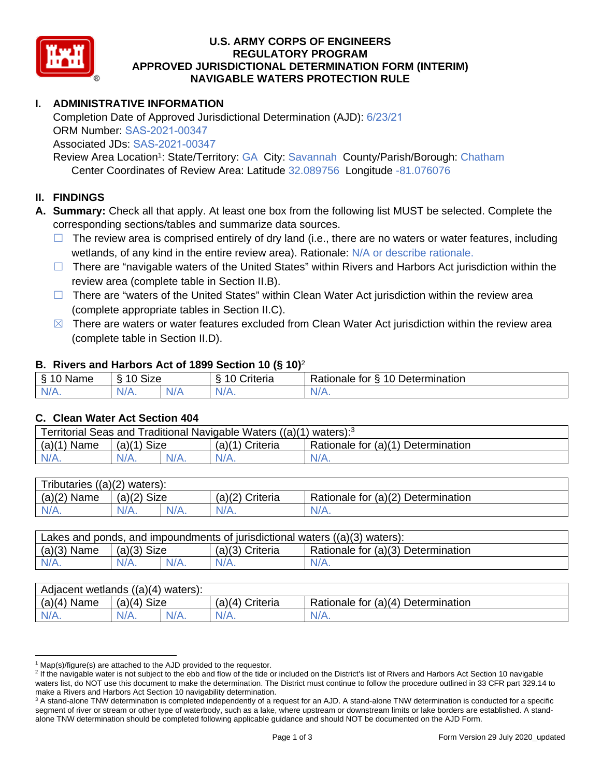

### **U.S. ARMY CORPS OF ENGINEERS REGULATORY PROGRAM APPROVED JURISDICTIONAL DETERMINATION FORM (INTERIM) NAVIGABLE WATERS PROTECTION RULE**

# **I. ADMINISTRATIVE INFORMATION**

Completion Date of Approved Jurisdictional Determination (AJD): 6/23/21 ORM Number: SAS-2021-00347 Associated JDs: SAS-2021-00347

 Center Coordinates of Review Area: Latitude 32.089756 Longitude -81.076076 Review Area Location<sup>1</sup>: State/Territory: GA City: Savannah County/Parish/Borough: Chatham

### **II. FINDINGS**

**A. Summary:** Check all that apply. At least one box from the following list MUST be selected. Complete the corresponding sections/tables and summarize data sources.

- $\Box$  The review area is comprised entirely of dry land (i.e., there are no waters or water features, including wetlands, of any kind in the entire review area). Rationale: N/A or describe rationale.
- review area (complete table in Section II.B).  $\Box$  There are "navigable waters of the United States" within Rivers and Harbors Act jurisdiction within the
- (complete appropriate tables in Section II.C). ☐ There are "waters of the United States" within Clean Water Act jurisdiction within the review area
- $\boxtimes$  There are waters or water features excluded from Clean Water Act jurisdiction within the review area (complete table in Section II.D).

#### **B. Rivers and Harbors Act of 1899 Section 10 (§ 10)**<sup>2</sup>

| $\sim$<br>10000<br>Ò<br>ivame<br>u | $\ddot{\phantom{1}}$<br>10<br>Size<br>٠ι. |     | -<br>;riteria | -<br>$\sqrt{2}$<br>-<br>Determination<br>tor<br>≺ationale<br>U |
|------------------------------------|-------------------------------------------|-----|---------------|----------------------------------------------------------------|
| N/L                                | AU.                                       | .   | $\mathbf{v}$  | W.                                                             |
| $\mathbf{v}$                       |                                           | Nz. |               | <b>MII</b>                                                     |

#### **C. Clean Water Act Section 404**

| Territorial Seas and Traditional Navigable Waters ((a)(1) waters): <sup>3</sup> |               |  |                 |                                    |  |
|---------------------------------------------------------------------------------|---------------|--|-----------------|------------------------------------|--|
| $(a)(1)$ Name                                                                   | $(a)(1)$ Size |  | (a)(1) Criteria | Rationale for (a)(1) Determination |  |
| N/A.                                                                            | $N/A$ .       |  | $N/A$ .         | $N/A$ .                            |  |
|                                                                                 |               |  |                 |                                    |  |

| Tributaries $((a)(2)$ waters): |               |         |                 |                                    |  |  |
|--------------------------------|---------------|---------|-----------------|------------------------------------|--|--|
| $(a)(2)$ Name                  | $(a)(2)$ Size |         | (a)(2) Criteria | Rationale for (a)(2) Determination |  |  |
| $N/A$ .                        | $N/A$ .       | $N/A$ . | $N/A$ .         | $N/A$ .                            |  |  |
|                                |               |         |                 |                                    |  |  |

| $(a)(3)$ Name<br>Rationale for (a)(3) Determination<br>$(a)(3)$ Size<br>$(a)(3)$ Criteria | Lakes and ponds, and impoundments of jurisdictional waters $((a)(3)$ waters): |         |         |         |         |  |
|-------------------------------------------------------------------------------------------|-------------------------------------------------------------------------------|---------|---------|---------|---------|--|
|                                                                                           |                                                                               |         |         |         |         |  |
|                                                                                           | $N/A$ .                                                                       | $N/A$ . | $N/A$ . | $N/A$ . | $N/A$ . |  |

| $(a)(4)$ Name<br>Rationale for (a)(4) Determination<br>$(a)(4)$ Criteria<br>$(a)(4)$ Size | Adjacent wetlands $((a)(4)$ waters): |      |         |  |         |  |
|-------------------------------------------------------------------------------------------|--------------------------------------|------|---------|--|---------|--|
|                                                                                           |                                      |      |         |  |         |  |
|                                                                                           | N/A.                                 | N/A. | $N/A$ . |  | $N/A$ . |  |

<sup>&</sup>lt;sup>1</sup> Map(s)/figure(s) are attached to the AJD provided to the requestor.

<sup>&</sup>lt;sup>2</sup> If the navigable water is not subject to the ebb and flow of the tide or included on the District's list of Rivers and Harbors Act Section 10 navigable waters list, do NOT use this document to make the determination. The District must continue to follow the procedure outlined in 33 CFR part 329.14 to make a Rivers and Harbors Act Section 10 navigability determination.

<sup>&</sup>lt;sup>3</sup> A stand-alone TNW determination is completed independently of a request for an AJD. A stand-alone TNW determination is conducted for a specific segment of river or stream or other type of waterbody, such as a lake, where upstream or downstream limits or lake borders are established. A standalone TNW determination should be completed following applicable guidance and should NOT be documented on the AJD Form.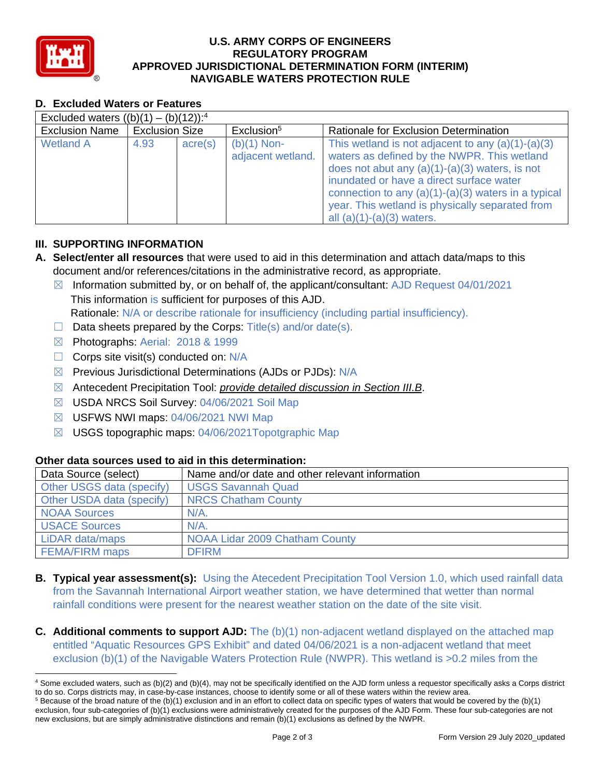

# **U.S. ARMY CORPS OF ENGINEERS REGULATORY PROGRAM APPROVED JURISDICTIONAL DETERMINATION FORM (INTERIM) NAVIGABLE WATERS PROTECTION RULE**

# **D. Excluded Waters or Features**

| Excluded waters $((b)(1) - (b)(12))$ : <sup>4</sup> |                       |         |                                    |                                                                                                                                                                                                                                                                                                                                               |
|-----------------------------------------------------|-----------------------|---------|------------------------------------|-----------------------------------------------------------------------------------------------------------------------------------------------------------------------------------------------------------------------------------------------------------------------------------------------------------------------------------------------|
| <b>Exclusion Name</b>                               | <b>Exclusion Size</b> |         | Exclusion <sup>5</sup>             | Rationale for Exclusion Determination                                                                                                                                                                                                                                                                                                         |
| <b>Wetland A</b>                                    | 4.93                  | acre(s) | $(b)(1)$ Non-<br>adjacent wetland. | This wetland is not adjacent to any $(a)(1)-(a)(3)$<br>waters as defined by the NWPR. This wetland<br>does not abut any $(a)(1)-(a)(3)$ waters, is not<br>inundated or have a direct surface water<br>connection to any $(a)(1)-(a)(3)$ waters in a typical<br>year. This wetland is physically separated from<br>all $(a)(1)-(a)(3)$ waters. |

### **III. SUPPORTING INFORMATION**

- **A. Select/enter all resources** that were used to aid in this determination and attach data/maps to this document and/or references/citations in the administrative record, as appropriate.
	- $\boxtimes$  Information submitted by, or on behalf of, the applicant/consultant: AJD Request 04/01/2021 This information is sufficient for purposes of this AJD. Rationale: N/A or describe rationale for insufficiency (including partial insufficiency).
	- $\Box$  Data sheets prepared by the Corps: Title(s) and/or date(s).
	- ☒ Photographs: Aerial: 2018 & 1999
	- $\Box$  Corps site visit(s) conducted on: N/A
	- ⊠ Previous Jurisdictional Determinations (AJDs or PJDs): N/A
	- ☒ Antecedent Precipitation Tool: *provide detailed discussion in Section III.B*.
	- ☒ USDA NRCS Soil Survey: 04/06/2021 Soil Map
	- ☒ USFWS NWI maps: 04/06/2021 NWI Map
	- ☒ USGS topographic maps: 04/06/2021Topotgraphic Map

## **Other data sources used to aid in this determination:**

| Data Source (select)      | Name and/or date and other relevant information |
|---------------------------|-------------------------------------------------|
| Other USGS data (specify) | <b>USGS Savannah Quad</b>                       |
| Other USDA data (specify) | <b>NRCS Chatham County</b>                      |
| <b>NOAA Sources</b>       | $N/A$ .                                         |
| <b>USACE Sources</b>      | $N/A$ .                                         |
| LiDAR data/maps           | NOAA Lidar 2009 Chatham County                  |
| <b>FEMA/FIRM maps</b>     | <b>DFIRM</b>                                    |

- **B. Typical year assessment(s):** Using the Atecedent Precipitation Tool Version 1.0, which used rainfall data from the Savannah International Airport weather station, we have determined that wetter than normal rainfall conditions were present for the nearest weather station on the date of the site visit.
- **C.** Additional comments to support AJD: The (b)(1) non-adjacent wetland displayed on the attached map entitled "Aquatic Resources GPS Exhibit" and dated 04/06/2021 is a non-adjacent wetland that meet exclusion (b)(1) of the Navigable Waters Protection Rule (NWPR). This wetland is >0.2 miles from the

<sup>4</sup> Some excluded waters, such as (b)(2) and (b)(4), may not be specifically identified on the AJD form unless a requestor specifically asks a Corps district to do so. Corps districts may, in case-by-case instances, choose to identify some or all of these waters within the review area.

 $5$  Because of the broad nature of the (b)(1) exclusion and in an effort to collect data on specific types of waters that would be covered by the (b)(1) exclusion, four sub-categories of (b)(1) exclusions were administratively created for the purposes of the AJD Form. These four sub-categories are not new exclusions, but are simply administrative distinctions and remain (b)(1) exclusions as defined by the NWPR.